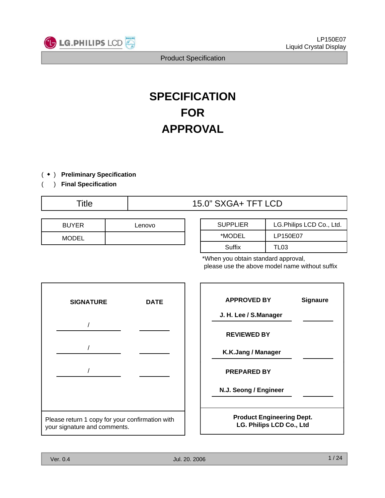

# **SPECIFICATION FOR APPROVAL**

- ( ◆ ) **Preliminary Specification**
- ( ) **Final Specification**

## Title  $15.0$ " SXGA+ TFT LCD

| <b>BUYER</b> | Lenovo |
|--------------|--------|
| <b>MODEL</b> |        |

| <b>SUPPLIER</b> | LG.Philips LCD Co., Ltd. |
|-----------------|--------------------------|
| *MODEL          | LP150E07                 |
| Suffix          | TI 03                    |

\*When you obtain standard approval, please use the above model name without suffix



| <b>APPROVED BY</b>               | <b>Signaure</b> |  |  |  |  |  |  |  |
|----------------------------------|-----------------|--|--|--|--|--|--|--|
| J. H. Lee / S.Manager            |                 |  |  |  |  |  |  |  |
| <b>REVIEWED BY</b>               |                 |  |  |  |  |  |  |  |
| K.K.Jang / Manager               |                 |  |  |  |  |  |  |  |
| <b>PREPARED BY</b>               |                 |  |  |  |  |  |  |  |
| N.J. Seong / Engineer            |                 |  |  |  |  |  |  |  |
| <b>Product Engineering Dept.</b> |                 |  |  |  |  |  |  |  |
| <b>LG. Philips LCD Co., Ltd</b>  |                 |  |  |  |  |  |  |  |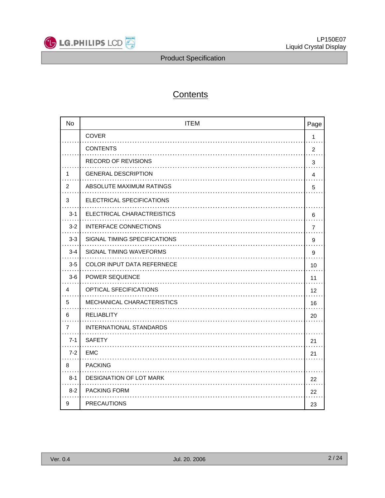

## **Contents**

| <b>No</b> | <b>ITEM</b>                       | Page           |
|-----------|-----------------------------------|----------------|
|           | <b>COVER</b>                      | $\mathbf{1}$   |
|           | <b>CONTENTS</b>                   | $\overline{c}$ |
|           | <b>RECORD OF REVISIONS</b>        | 3              |
| 1         | <b>GENERAL DESCRIPTION</b>        | 4              |
| 2         | ABSOLUTE MAXIMUM RATINGS          | 5              |
| 3         | ELECTRICAL SPECIFICATIONS         |                |
| $3 - 1$   | ELECTRICAL CHARACTREISTICS        | 6              |
| $3 - 2$   | <b>INTERFACE CONNECTIONS</b>      | 7              |
| $3-3$     | SIGNAL TIMING SPECIFICATIONS      | 9              |
| $3 - 4$   | SIGNAL TIMING WAVEFORMS           | 9              |
| $3-5$     | <b>COLOR INPUT DATA REFERNECE</b> | 10             |
| $3-6$     | POWER SEQUENCE                    | 11             |
| 4         | OPTICAL SFECIFICATIONS            | 12             |
| 5         | MECHANICAL CHARACTERISTICS        | 16             |
| 6         | RELIABLITY                        | 20             |
| 7         | INTERNATIONAL STANDARDS           |                |
| $7 - 1$   | <b>SAFETY</b>                     | 21             |
| $7 - 2$   | <b>EMC</b>                        | 21             |
| 8         | <b>PACKING</b>                    |                |
| $8 - 1$   | DESIGNATION OF LOT MARK           | 22             |
| $8 - 2$   | <b>PACKING FORM</b>               | 22             |
| 9         | <b>PRECAUTIONS</b>                | 23             |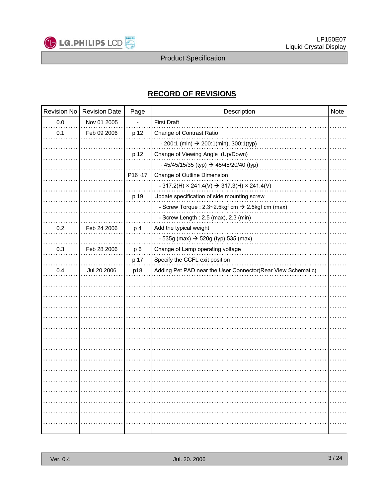

## **RECORD OF REVISIONS**

| Revision No | <b>Revision Date</b> | Page           | Description                                                      | Note |
|-------------|----------------------|----------------|------------------------------------------------------------------|------|
| 0.0         | Nov 01 2005          |                | <b>First Draft</b>                                               |      |
| 0.1         | Feb 09 2006          | p 12           | Change of Contrast Ratio                                         |      |
|             |                      |                | $-200:1$ (min) $\rightarrow 200:1$ (min), 300:1(typ)             |      |
|             |                      | p 12           | Change of Viewing Angle (Up/Down)                                |      |
|             |                      |                | - 45/45/15/35 (typ) $\rightarrow$ 45/45/20/40 (typ)              |      |
|             |                      | P16~17         | Change of Outline Dimension                                      |      |
|             |                      |                | $-317.2(H) \times 241.4(V) \rightarrow 317.3(H) \times 241.4(V)$ |      |
|             |                      | p 19           | Update specification of side mounting screw                      |      |
|             |                      |                | - Screw Torque : 2.3~2.5kgf cm → 2.5kgf cm (max)                 |      |
|             |                      |                | - Screw Length: 2.5 (max), 2.3 (min)                             |      |
| 0.2         | Feb 24 2006          | p 4            | Add the typical weight                                           |      |
|             |                      |                | - 535g (max) $\rightarrow$ 520g (typ) 535 (max)                  |      |
| 0.3         | Feb 28 2006          | p <sub>6</sub> | Change of Lamp operating voltage                                 |      |
|             |                      | p 17           | Specify the CCFL exit position                                   |      |
| 0.4         | Jul 20 2006          | p18            | Adding Pet PAD near the User Connector(Rear View Schematic)      |      |
|             |                      |                |                                                                  |      |
|             |                      |                |                                                                  |      |
|             |                      |                |                                                                  |      |
|             |                      |                |                                                                  |      |
|             |                      |                |                                                                  |      |
|             |                      |                |                                                                  |      |
|             |                      |                |                                                                  |      |
|             |                      |                |                                                                  |      |
|             |                      |                |                                                                  |      |
|             |                      |                |                                                                  |      |
|             |                      |                |                                                                  |      |
|             |                      |                |                                                                  |      |
|             |                      |                |                                                                  |      |
|             |                      |                |                                                                  |      |
|             |                      |                |                                                                  |      |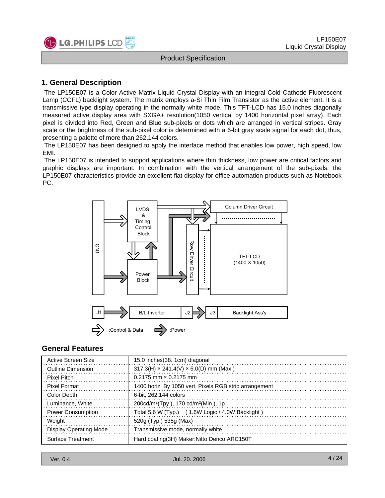

## **1. General Description**

The LP150E07 is a Color Active Matrix Liquid Crystal Display with an integral Cold Cathode Fluorescent Lamp (CCFL) backlight system. The matrix employs a-Si Thin Film Transistor as the active element. It is a transmissive type display operating in the normally white mode. This TFT-LCD has 15.0 inches diagonally measured active display area with SXGA+ resolution(1050 vertical by 1400 horizontal pixel array). Each pixel is divided into Red, Green and Blue sub-pixels or dots which are arranged in vertical stripes. Gray scale or the brightness of the sub-pixel color is determined with a 6-bit gray scale signal for each dot, thus, presenting a palette of more than 262,144 colors.

The LP150E07 has been designed to apply the interface method that enables low power, high speed, low EMI.

The LP150E07 is intended to support applications where thin thickness, low power are critical factors and graphic displays are important. In combination with the vertical arrangement of the sub-pixels, the LP150E07 characteristics provide an excellent flat display for office automation products such as Notebook PC.



## **General Features**

| Active Screen Size            | 15.0 inches (38. 1cm) diagonal                                |
|-------------------------------|---------------------------------------------------------------|
| Outline Dimension             | $317.3(H) \times 241.4(V) \times 6.0(D)$ mm (Max.)            |
| Pixel Pitch                   | $0.2175$ mm $\times$ 0.2175 mm                                |
| <b>Pixel Format</b>           | 1400 horiz. By 1050 vert. Pixels RGB strip arrangement        |
| Color Depth                   | 6-bit. 262.144 colors                                         |
| Luminance, White              | 200cd/m <sup>2</sup> (Tpy.), 170 cd/m <sup>2</sup> (Min.), 1p |
| <b>Power Consumption</b>      | Total 5.6 W (Typ.) (1.6W Logic / 4.0W Backlight)              |
| Weight                        | 520g (Typ.) 535g (Max)                                        |
| <b>Display Operating Mode</b> | Transmissive mode, normally white                             |
| Surface Treatment             | Hard coating (3H) Maker: Nitto Denco ARC150T                  |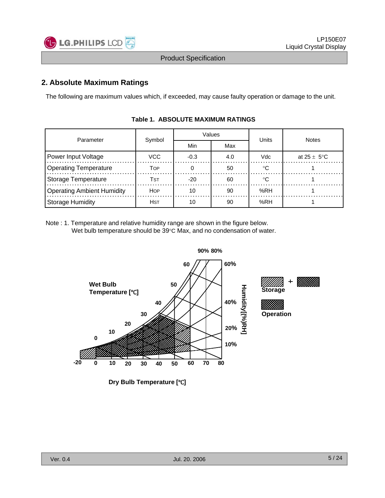

## **2. Absolute Maximum Ratings**

The following are maximum values which, if exceeded, may cause faulty operation or damage to the unit.

| Parameter                         |            |        | Values | Units | <b>Notes</b>            |  |  |
|-----------------------------------|------------|--------|--------|-------|-------------------------|--|--|
|                                   | Symbol     | Min    | Max    |       |                         |  |  |
| Power Input Voltage               | VCC.       | $-0.3$ | 4.0    | Vdc   | at $25 \pm 5^{\circ}$ C |  |  |
| <b>Operating Temperature</b>      | Тор        |        | 50     | ം     |                         |  |  |
| Storage Temperature               | Tst        | $-20$  | 60     | ം     |                         |  |  |
| <b>Operating Ambient Humidity</b> | <b>HOP</b> | 10     | 90     | %RH   |                         |  |  |
| <b>Storage Humidity</b><br>Hst    |            | 10     | 90     | %RH   |                         |  |  |

#### **Table 1. ABSOLUTE MAXIMUM RATINGS**

Note : 1. Temperature and relative humidity range are shown in the figure below. Wet bulb temperature should be 39°C Max, and no condensation of water.

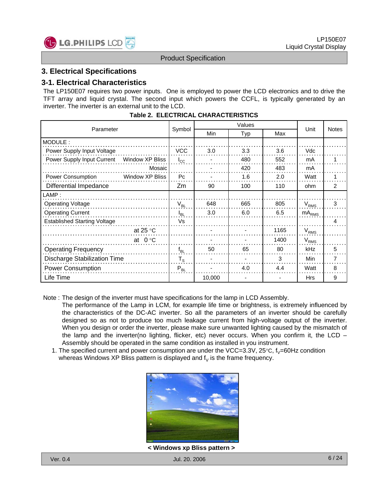

### **3. Electrical Specifications**

#### **3-1. Electrical Characteristics**

The LP150E07 requires two power inputs. One is employed to power the LCD electronics and to drive the TFT array and liquid crystal. The second input which powers the CCFL, is typically generated by an inverter. The inverter is an external unit to the LCD.

| Parameter                                     | Symbol                  |        | Unit | <b>Notes</b> |                  |   |
|-----------------------------------------------|-------------------------|--------|------|--------------|------------------|---|
|                                               |                         | Min    | Typ  | Max          |                  |   |
| MODULE:                                       |                         |        |      |              |                  |   |
| Power Supply Input Voltage                    | <b>VCC</b>              | 3.0    | 3.3  | 3.6          | Vdc              |   |
| Power Supply Input Current<br>Window XP Bliss | $I_{\rm CC}$            |        | 480  | 552          | mA               |   |
| Mosaic                                        |                         |        | 420  | 483          | mA               |   |
| Power Consumption<br>Window XP Bliss          | P <sub>C</sub>          |        | 1.6  | 2.0          | Watt             |   |
| Differential Impedance                        | Zm                      | 90     | 100  | 110          | ohm              | 2 |
| LAMP:                                         |                         |        |      |              |                  |   |
| <b>Operating Voltage</b>                      | $V_{BL}$                | 648    | 665  | 805          | $V_{RMS}$        | 3 |
| <b>Operating Current</b>                      | l <sub>BL</sub>         | 3.0    | 6.0  | 6.5          | $mA_{RMS}$       |   |
| <b>Established Starting Voltage</b>           | Vs                      |        |      |              |                  | 4 |
| at 25 $\degree$ C                             |                         |        |      | 1165         | V <sub>RMS</sub> |   |
| $0^{\circ}$ C<br>at                           |                         |        |      | 1400         | V <sub>RMS</sub> |   |
| <b>Operating Frequency</b>                    | $f_{BL}$                | 50     | 65   | 80           | kHz              | 5 |
| <b>Discharge Stabilization Time</b>           | $\mathsf{T}_\mathsf{S}$ |        |      | 3            | Min              | 7 |
| <b>Power Consumption</b>                      | $P_{BL}$                |        | 4.0  | 4.4          | Watt             | 8 |
| Life Time                                     |                         | 10,000 |      |              | <b>Hrs</b>       | 9 |

#### **Table 2. ELECTRICAL CHARACTERISTICS**

Note : The design of the inverter must have specifications for the lamp in LCD Assembly.

- The performance of the Lamp in LCM, for example life time or brightness, is extremely influenced by the characteristics of the DC-AC inverter. So all the parameters of an inverter should be carefully designed so as not to produce too much leakage current from high-voltage output of the inverter. When you design or order the inverter, please make sure unwanted lighting caused by the mismatch of the lamp and the inverter(no lighting, flicker, etc) never occurs. When you confirm it, the LCD – Assembly should be operated in the same condition as installed in you instrument.
- 1. The specified current and power consumption are under the VCC=3.3V,  $25^{\circ}$ C,  $f_v=60$ Hz condition whereas Windows XP Bliss pattern is displayed and  $f_V$  is the frame frequency.



**< Windows xp Bliss pattern >**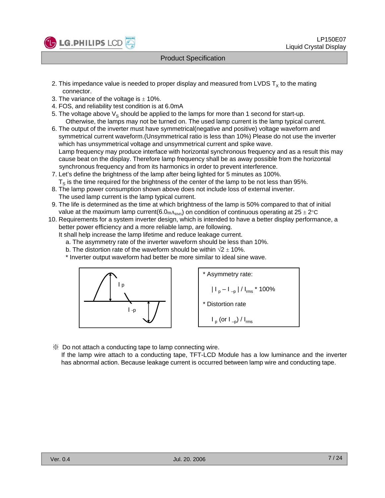

- 2. This impedance value is needed to proper display and measured from LVDS  $T_x$  to the mating connector.
- 3. The variance of the voltage is  $\pm$  10%.
- 4. FOS, and reliability test condition is at 6.0mA
- 5. The voltage above  $V_s$  should be applied to the lamps for more than 1 second for start-up. Otherwise, the lamps may not be turned on. The used lamp current is the lamp typical current.
- 6. The output of the inverter must have symmetrical(negative and positive) voltage waveform and symmetrical current waveform. (Unsymmetrical ratio is less than 10%) Please do not use the inverter which has unsymmetrical voltage and unsymmetrical current and spike wave. Lamp frequency may produce interface with horizontal synchronous frequency and as a result this may cause beat on the display. Therefore lamp frequency shall be as away possible from the horizontal synchronous frequency and from its harmonics in order to prevent interference.
- 7. Let's define the brightness of the lamp after being lighted for 5 minutes as 100%.  $T<sub>S</sub>$  is the time required for the brightness of the center of the lamp to be not less than 95%.
- 8. The lamp power consumption shown above does not include loss of external inverter. The used lamp current is the lamp typical current.
- 9. The life is determined as the time at which brightness of the lamp is 50% compared to that of initial value at the maximum lamp current(6.0<sub>mA<sub>RMS</sub>) on condition of continuous operating at  $25 \pm 2^{\circ}$ C</sub>
- 10. Requirements for a system inverter design, which is intended to have a better display performance, a better power efficiency and a more reliable lamp, are following.
	- It shall help increase the lamp lifetime and reduce leakage current.
		- a. The asymmetry rate of the inverter waveform should be less than 10%.
		- b. The distortion rate of the waveform should be within  $\sqrt{2} \pm 10\%$ .
		- \* Inverter output waveform had better be more similar to ideal sine wave.



※ Do not attach a conducting tape to lamp connecting wire.

If the lamp wire attach to a conducting tape, TFT-LCD Module has a low luminance and the inverter has abnormal action. Because leakage current is occurred between lamp wire and conducting tape.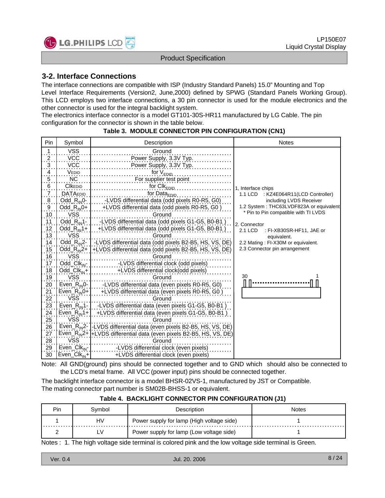

## **3-2. Interface Connections**

The interface connections are compatible with ISP (Industry Standard Panels) 15.0" Mounting and Top Level Interface Requirements (Version2, June,2000) defined by SPWG (Standard Panels Working Group). This LCD employs two interface connections, a 30 pin connector is used for the module electronics and the other connector is used for the integral backlight system.

The electronics interface connector is a model GT101-30S-HR11 manufactured by LG Cable. The pin configuration for the connector is shown in the table below.

| Pin                      | Symbol                            | Description                                                                                         | <b>Notes</b>                            |
|--------------------------|-----------------------------------|-----------------------------------------------------------------------------------------------------|-----------------------------------------|
| $\overline{1}$           | <b>VSS</b>                        | Ground                                                                                              |                                         |
|                          | <b>VCC</b>                        | Power Supply, 3.3V Typ.                                                                             |                                         |
| $\frac{2}{3}$ .          | <b>VCC</b>                        | Power Supply, 3.3V Typ.                                                                             |                                         |
| $\overline{4}$           | VEDID                             | for V <sub>EDID</sub><br>.                                                                          |                                         |
| $\overline{5}$           | <b>NC</b>                         | For supplier test point                                                                             |                                         |
| $6 \frac{1}{2}$          | <b>CIKEDID</b>                    | for CIK <sub>EDID</sub>                                                                             | 1, Interface chips                      |
| $\overline{7}$           | <b>DATAEDID</b>                   | for Data $_{EDID}$                                                                                  | 1.1 LCD : KZ4E064R11(LCD Controller)    |
| $\boldsymbol{8}$         | $Odd_R_{\text{IN}}0$ -            | -LVDS differential data (odd pixels R0-R5, G0)                                                      | including LVDS Receiver                 |
| $\overline{9}$ .         | Odd_ $R_{IN}$ 0+                  | +LVDS differential data (odd pixels R0-R5, G0)                                                      | 1.2 System: THC63LVDF823A or equivalent |
| 10                       | <b>VSS</b>                        | Ground                                                                                              | * Pin to Pin compatible with TI LVDS    |
| 11                       | $Odd_R_{\text{IN}}1$ -            | -LVDS differential data (odd pixels G1-G5, B0-B1)                                                   | 2. Connector                            |
| $\frac{12}{13}$          | Odd_ $R_{IN}$ 1+                  | +LVDS differential data (odd pixels G1-G5, B0-B1)                                                   | 2.1 LCD<br>: FI-XB30SR-HF11, JAE or     |
|                          | <b>VSS</b>                        | Ground                                                                                              | equivalent.                             |
|                          | $Odd_R_{IN}2$ -                   | -LVDS differential data (odd pixels B2-B5, HS, VS, DE)                                              | 2.2 Mating: FI-X30M or equivalent.      |
| $\frac{14}{15}$          | Odd_ $R_{IN}2+$ ]                 | +LVDS differential data (odd pixels B2-B5, HS, VS, DE)                                              | 2.3 Connector pin arrangement           |
| 16                       | <b>VSS</b>                        | Ground                                                                                              |                                         |
| 17                       | Odd_Clk <sub>IN</sub> -           | -LVDS differential clock (odd pixels)                                                               |                                         |
| $\frac{18}{19}$          | $Odd$ $Clk_{IN}+$                 | +LVDS differential clock(odd pixels)                                                                |                                         |
|                          | VSS <sup>1</sup>                  | Ground                                                                                              | 30                                      |
|                          |                                   | Even_R <sub>IN</sub> 0-   -LVDS differential data (even pixels R0-R5, G0)                           |                                         |
|                          | $Even_R_{\text{IN}}0+$            | +LVDS differential data (even pixels R0-R5, G0)                                                     |                                         |
|                          | <b>VSS</b>                        | Ground                                                                                              |                                         |
| 20:21:22:33:41:25:26:27: | Even <sub>_R<sub>IN</sub>1-</sub> | -LVDS differential data (even pixels G1-G5, B0-B1)                                                  |                                         |
|                          | $Even_Rw1+$                       | +LVDS differential data (even pixels G1-G5, B0-B1)                                                  |                                         |
|                          | <b>VSS</b>                        | Ground                                                                                              |                                         |
|                          |                                   | Even_R <sub>IN</sub> 2-1-LVDS differential data (even pixels B2-B5, HS, VS, DE)                     |                                         |
|                          |                                   | Even_R <sub>IN</sub> 2+ <sup>1</sup> +LVDS differential data (even pixels B2-B5, HS, VS, DE)        |                                         |
| 28                       | VSS <sup>®</sup>                  | Ground                                                                                              |                                         |
| 29                       | Even_Clk <sub>IN</sub> -          | -LVDS differential clock (even pixels)                                                              |                                         |
| 30                       | Even_Clk <sub>IN</sub> +          | +LVDS differential clock (even pixels)                                                              |                                         |
|                          |                                   | Note: All GND(ground) pins should be connected together and to GND which should also be connected t |                                         |

#### **Table 3. MODULE CONNECTOR PIN CONFIGURATION (CN1)**

Note: All GND(ground) pins should be connected together and to GND which should also be connected to the LCD's metal frame. All VCC (power input) pins should be connected together.

The backlight interface connector is a model BHSR-02VS-1, manufactured by JST or Compatible. The mating connector part number is SM02B-BHSS-1 or equivalent.

| Pin | Svmbol | <b>Description</b>                        | <b>Notes</b> |
|-----|--------|-------------------------------------------|--------------|
|     | H٧     | Power supply for lamp (High voltage side) |              |
|     | LV     | Power supply for lamp (Low voltage side)  |              |

#### **Table 4. BACKLIGHT CONNECTOR PIN CONFIGURATION (J1)**

Notes : 1. The high voltage side terminal is colored pink and the low voltage side terminal is Green.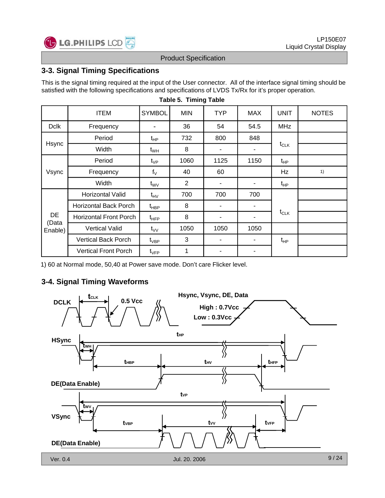

## **3-3. Signal Timing Specifications**

This is the signal timing required at the input of the User connector. All of the interface signal timing should be satisfied with the following specifications and specifications of LVDS Tx/Rx for it's proper operation.

|                                          | <b>ITEM</b>                   | <b>SYMBOL</b>    | <b>MIN</b>     | <b>TYP</b> | <b>MAX</b> | <b>UNIT</b> | <b>NOTES</b> |
|------------------------------------------|-------------------------------|------------------|----------------|------------|------------|-------------|--------------|
| <b>Dclk</b>                              | Frequency                     |                  | 36             | 54         | 54.5       | <b>MHz</b>  |              |
|                                          | Period                        | $t_{HP}$         | 732            | 800        | 848        |             |              |
| Hsync<br>Vsync<br>DE<br>(Data<br>Enable) | Width                         | $t_{WH}$         | 8              | ۰          | -          | $t_{CLK}$   |              |
|                                          | Period                        | $t_{\rm VP}$     | 1060           | 1125       | 1150       | $t_{HP}$    |              |
|                                          | Frequency                     | $f_V$            | 40             | 60         |            | Hz          | 1)           |
|                                          | Width                         | $t_{\rm WV}$     | $\overline{2}$ | ۰          | -          | $t_{HP}$    |              |
|                                          | Horizontal Valid              | $t_{\text{HV}}$  | 700            | 700        | 700        |             |              |
|                                          | <b>Horizontal Back Porch</b>  | $t_{\sf HBP}$    | 8              |            | ٠          |             |              |
|                                          | <b>Horizontal Front Porch</b> | $t_{\text{HFP}}$ | 8              |            |            | $t_{CLK}$   |              |
|                                          | <b>Vertical Valid</b>         | $t_{VV}$         | 1050           | 1050       | 1050       |             |              |
|                                          | <b>Vertical Back Porch</b>    | $t_{\rm VBP}$    | 3              | ۰          | ٠          | $t_{HP}$    |              |
|                                          | <b>Vertical Front Porch</b>   | $t_{\sf VFP}$    | 1              | ۰          | -          |             |              |

#### **Table 5. Timing Table**

1) 60 at Normal mode, 50,40 at Power save mode. Don't care Flicker level.

## **3-4. Signal Timing Waveforms**

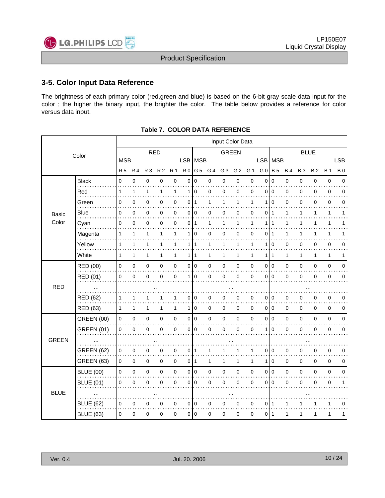

## **3-5. Color Input Data Reference**

The brightness of each primary color (red,green and blue) is based on the 6-bit gray scale data input for the color ; the higher the binary input, the brighter the color. The table below provides a reference for color versus data input.

|              |                   |                | Input Color Data |                |                |                |                 |                 |              |                |                |              |                |                |           |              |              |              |             |
|--------------|-------------------|----------------|------------------|----------------|----------------|----------------|-----------------|-----------------|--------------|----------------|----------------|--------------|----------------|----------------|-----------|--------------|--------------|--------------|-------------|
|              | Color             |                |                  |                | <b>RED</b>     |                |                 |                 |              | <b>GREEN</b>   |                |              |                |                |           |              | <b>BLUE</b>  |              |             |
|              |                   | <b>MSB</b>     |                  |                |                |                | LSB             | <b>MSB</b>      |              |                |                |              | LSB MSB        |                |           |              |              |              | <b>LSB</b>  |
|              |                   | R <sub>5</sub> | <b>R4</b>        | R <sub>3</sub> | R <sub>2</sub> | R <sub>1</sub> | R <sub>0</sub>  | G <sub>5</sub>  | G 4          | G <sub>3</sub> | G <sub>2</sub> | G 1          | G <sub>0</sub> | <b>B</b> 5     | <b>B4</b> | <b>B3</b>    | <b>B2</b>    | <b>B</b> 1   | <b>B</b> 0  |
|              | <b>Black</b>      | 0              | $\mathbf 0$      | 0              | 0              | $\pmb{0}$      | $\mathbf 0$     | $\mathbf 0$     | $\pmb{0}$    | $\pmb{0}$      | 0              | 0            | $\mathbf 0$    | $\pmb{0}$      | 0         | $\mathbf 0$  | $\mathbf 0$  | $\pmb{0}$    | $\mathbf 0$ |
|              | Red               | 1              | $\mathbf{1}$     | $\mathbf{1}$   | $\mathbf{1}$   | $\mathbf{1}$   | 1               | $\mathbf 0$     | $\mathbf 0$  | $\pmb{0}$      | 0              | 0            | $\Omega$       | $\overline{0}$ | 0         | 0            | $\mathbf 0$  | $\pmb{0}$    | $\Omega$    |
|              | Green             | 0              | 0                | 0              | 0              | 0              | 0               | 1               | 1            | 1              | 1              | 1            | 1              | 0              | 0         | $\Omega$     | 0            | 0            | $\Omega$    |
| <b>Basic</b> | <b>Blue</b>       | 0              | $\mathbf 0$      | 0              | 0              | 0              | 0               | $\mathbf 0$     | $\mathbf 0$  | $\mathbf 0$    | 0              | 0            | $\Omega$       | $\mathbf 1$    | 1         | 1            | 1            | $\mathbf{1}$ | 1           |
| Color        | Cyan              | 0              | 0                | 0              | 0              | $\pmb{0}$      |                 | 011             | 1            | 1              | 1              | 1            | 1              |                | 1         |              | 1            | 1            |             |
|              | Magenta           | 1              | 1                | 1              | 1              | 1              | 1               | 0               | 0            | $\mathbf 0$    | 0              | 0            | 0              | -1             | 1         | 1            | 1            | $\mathbf{1}$ | 1           |
|              | Yellow            | 1              | $\mathbf{1}$     | 1              | 1              | $\mathbf{1}$   | 1               | 1               | 1            | $\mathbf{1}$   | $\mathbf{1}$   | 1            | 1              | $\overline{0}$ | 0         | 0            | $\mathbf 0$  | $\pmb{0}$    | 0           |
|              | White             | $\mathbf{1}$   | 1                | 1              | $\mathbf{1}$   | 1              | 1               | 1               | 1            | 1              | 1              | $\mathbf{1}$ | 1              | $\mathbf{1}$   | 1         | $\mathbf{1}$ | $\mathbf{1}$ | 1            | 1           |
|              | RED (00)          | $\pmb{0}$      | $\mathsf 0$      | $\mathsf 0$    | $\mathbf 0$    | $\pmb{0}$      | 0               | $\overline{10}$ | $\mathbf 0$  | $\pmb{0}$      | 0              | 0            | $\mathbf 0$    | $\overline{0}$ | 0         | $\mathbf 0$  | $\mathbf 0$  | $\pmb{0}$    | $\mathbf 0$ |
|              | RED (01)          | 0              | $\mathbf 0$      | 0              | 0              | $\mathbf 0$    | 1               | 0               | $\mathbf 0$  | $\mathbf 0$    | 0              | 0            | $\Omega$       | $\mathbf 0$    | 0         | $\Omega$     | $\Omega$     | 0            | $\mathbf 0$ |
| <b>RED</b>   | $\ddotsc$         |                |                  |                |                |                |                 |                 |              |                |                |              |                |                |           |              |              |              |             |
|              | RED (62)          |                | 1                |                |                | 1              | 0               | 0               | 0            | 0              | 0              | 0            | 0              | $\mathbf 0$    | 0         | 0            | 0            | 0            | 0           |
|              | RED (63)          | $\mathbf{1}$   | $\mathbf{1}$     | 1              | 1              | $\mathbf{1}$   | 1               | $\mathbf 0$     | $\mathbf 0$  | 0              | $\pmb{0}$      | $\mathbf 0$  | $\mathbf 0$    | $\overline{0}$ | 0         | 0            | $\mathbf 0$  | $\pmb{0}$    | 0           |
|              | <b>GREEN (00)</b> | $\pmb{0}$      | $\pmb{0}$        | $\mathsf 0$    | $\mathbf 0$    | $\pmb{0}$      | $\pmb{0}$       | $\overline{0}$  | $\pmb{0}$    | $\pmb{0}$      | 0              | 0            | $\mathbf 0$    | $\overline{0}$ | 0         | $\mathbf 0$  | $\mathbf 0$  | $\pmb{0}$    | $\mathbf 0$ |
|              | <b>GREEN (01)</b> | 0              | 0                | 0              | 0              | 0              | 0               | $\overline{0}$  | $\mathbf 0$  | $\mathbf 0$    | $\Omega$       | 0            | 1              | $\mathbf 0$    | 0         | $\Omega$     | $\Omega$     | 0            | 0           |
| <b>GREEN</b> |                   |                |                  |                |                |                |                 |                 |              |                |                |              |                |                |           |              |              |              |             |
|              | <b>GREEN (62)</b> | 0              | 0                | 0              | 0              | 0              | 0               | 1               | 1            |                | 1              | 1            | 0              | 0              | 0         | 0            | 0            | 0            | 0           |
|              | <b>GREEN (63)</b> | $\mathbf 0$    | $\pmb{0}$        | 0              | $\mathbf 0$    | $\pmb{0}$      | 0 <sup>11</sup> |                 | $\mathbf{1}$ | 1              | 1              | $\mathbf{1}$ | 1              | $\overline{0}$ | 0         | 0            | $\mathbf 0$  | $\pmb{0}$    | 0           |
|              | <b>BLUE (00)</b>  | $\pmb{0}$      | $\pmb{0}$        | $\mathbf 0$    | $\mathbf 0$    | $\pmb{0}$      | $\mathbf 0$     | $\mathbf 0$     | $\mathbf 0$  | $\mathbf 0$    | 0              | 0            | $\mathbf 0$    | l 0            | 0         | 0            | $\mathbf 0$  | $\pmb{0}$    | $\mathbf 0$ |
|              | <b>BLUE (01)</b>  | 0              | 0                | 0              | 0              | 0              | 0               | $\mathbf 0$     | 0            | 0              | 0              | 0            | $\mathbf 0$    | $\mathbf 0$    | 0         | 0            | 0            | 0            | 1           |
| <b>BLUE</b>  | $\cdots$          |                |                  |                |                |                |                 |                 |              |                |                |              |                |                |           |              |              |              |             |
|              | <b>BLUE (62)</b>  | 0              | 0                | 0              | 0              | 0              | 0               | 0               | 0            | 0              | 0              | 0            | 0              |                |           |              |              | 1            | 0           |
|              | <b>BLUE (63)</b>  | $\pmb{0}$      | 0                | 0              | 0              | 0              | 0               | 0               | 0            | $\mathbf 0$    | 0              | 0            | 0              | 1              | 1         | 1            | 1            | $\mathbf{1}$ | 1           |

#### **Table 7. COLOR DATA REFERENCE**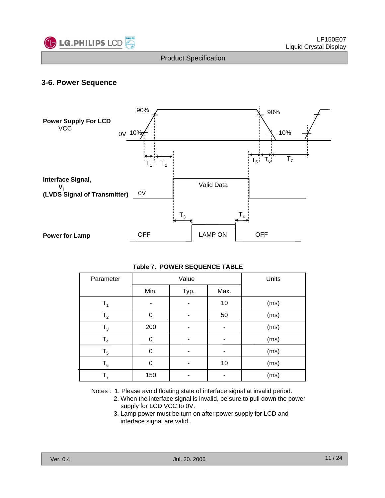

## **3-6. Power Sequence**



#### **Table 7. POWER SEQUENCE TABLE**

| Parameter                                                                    |      | Value | Units |      |  |  |  |  |  |  |
|------------------------------------------------------------------------------|------|-------|-------|------|--|--|--|--|--|--|
|                                                                              | Min. | Typ.  |       |      |  |  |  |  |  |  |
| $T_1$                                                                        |      |       | 10    | (ms) |  |  |  |  |  |  |
| T <sub>2</sub>                                                               | 0    |       | 50    | (ms) |  |  |  |  |  |  |
| $T_3$                                                                        | 200  |       |       | (ms) |  |  |  |  |  |  |
| T <sub>4</sub>                                                               | 0    |       |       | (ms) |  |  |  |  |  |  |
| T <sub>5</sub>                                                               | 0    |       |       | (ms) |  |  |  |  |  |  |
| $T_6$                                                                        | 0    |       | 10    | (ms) |  |  |  |  |  |  |
| T <sub>7</sub>                                                               | 150  |       |       | (ms) |  |  |  |  |  |  |
| Notes: 1. Please avoid floating state of interface signal at invalid period. |      |       |       |      |  |  |  |  |  |  |

- 2. When the interface signal is invalid, be sure to pull down the power supply for LCD VCC to 0V.
- 3. Lamp power must be turn on after power supply for LCD and interface signal are valid.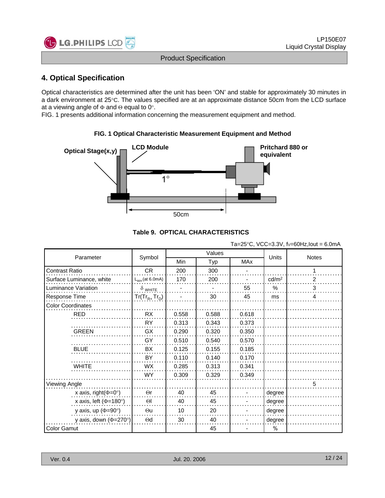

## **4 Optical Specification 4. Optical**

Optical characteristics are determined after the unit has been 'ON' and stable for approximately 30 minutes in a dark environment at 25°C. The values specified are at an approximate distance 50cm from the LCD surface at a viewing angle of Φ and Θ equal to 0°.

FIG. 1 presents additional information concerning the measurement equipment and method.

## **FIG. 1 Optical Characteristic Measurement Equipment and Method FIG. 1 Optical Characteristic Measurement Equipment and**



#### **Table 9. OPTICAL CHARACTERISTICS**

|                                   |                     | $1a - 2J$ C, $VCC - 3.5V$ , $V-CU$ $12.10U$ $- 0.011A$ |        |            |                   |              |  |
|-----------------------------------|---------------------|--------------------------------------------------------|--------|------------|-------------------|--------------|--|
|                                   |                     |                                                        | Values |            |                   |              |  |
| Parameter                         | Symbol              | Min                                                    | Typ    | <b>MAx</b> | Units             | <b>Notes</b> |  |
| Contrast Ratio                    | <b>CR</b>           | 200                                                    | 300    |            |                   | 1            |  |
| Surface Luminance, white          | $L_{WH}$ (at 6.0mA) | 170                                                    | 200    |            | cd/m <sup>2</sup> | 2            |  |
| Luminance Variation               | $\delta$ white      |                                                        |        | 55         | %                 | 3            |  |
| Response Time                     | $Tr(Tr_{R+}Tr_{D})$ |                                                        | 30     | 45         | ms                | 4            |  |
| <b>Color Coordinates</b>          |                     |                                                        |        |            |                   |              |  |
| <b>RED</b>                        | <b>RX</b>           | 0.558                                                  | 0.588  | 0.618      |                   |              |  |
|                                   | <b>RY</b>           | 0.313                                                  | 0.343  | 0.373      |                   |              |  |
| <b>GREEN</b>                      | GX                  | 0.290                                                  | 0.320  | 0.350      |                   |              |  |
|                                   | GY                  | 0.510                                                  | 0.540  | 0.570      |                   |              |  |
| <b>BLUE</b>                       | BX                  | 0.125                                                  | 0.155  | 0.185      |                   |              |  |
|                                   | BY                  | 0.110                                                  | 0.140  | 0.170      |                   |              |  |
| <b>WHITE</b>                      | WX                  | 0.285                                                  | 0.313  | 0.341      |                   |              |  |
|                                   | <b>WY</b>           | 0.309                                                  | 0.329  | 0.349      |                   |              |  |
| Viewing Angle                     |                     |                                                        |        |            |                   |              |  |
| x axis, right( $\Phi$ =0°)        | $\Theta$ r          | 40                                                     | 45     |            | degree            |              |  |
| x axis, left ( $\Phi$ =180°)      | $\Theta$            | 40                                                     | 45     |            | degree            |              |  |
| y axis, up ( $\Phi$ =90°)         | $\Theta$ u          | 10                                                     | 20     |            | degree            |              |  |
| y axis, down $(\Phi = 270^\circ)$ | $\Theta$ d          | 30                                                     | 40     |            | degree            |              |  |
| Color Gamut                       |                     |                                                        | 45     |            | %                 |              |  |

Ta=25°C, VCC=3.3V,  $f_y=60Hz$  lout = 6.0mA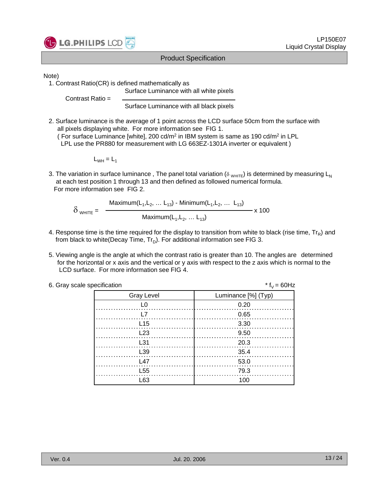

#### Note)

1. Contrast Ratio(CR) is defined mathematically as

Contrast Ratio =

Surface Luminance with all black pixels

Surface Luminance with all white pixels

2. Surface luminance is the average of 1 point across the LCD surface 50cm from the surface with all pixels displaying white. For more information see FIG 1. ( For surface Luminance [white], 200 cd/m<sup>2</sup> in IBM system is same as 190 cd/m<sup>2</sup> in LPL

LPL use the PR880 for measurement with LG 663EZ-1301A inverter or equivalent )

 $L_{WH} = L_1$ 

3. The variation in surface luminance, The panel total variation ( $\delta$  <sub>WHITE</sub>) is determined by measuring L<sub>N</sub> at each test position 1 through 13 and then defined as followed numerical formula. For more information see FIG 2.

$$
\delta_{\text{WHITE}} = \frac{\text{Maximum}(L_{1}, L_{2}, \dots L_{13}) - \text{Minimum}(L_{1}, L_{2}, \dots L_{13})}{\text{Maximum}(L_{1}, L_{2}, \dots L_{13})} \times 100
$$

- 4. Response time is the time required for the display to transition from white to black (rise time,  $Tr_R$ ) and from black to white(Decay Time,  $Tr_D$ ). For additional information see FIG 3.
- 5. Viewing angle is the angle at which the contrast ratio is greater than 10. The angles are determined for the horizontal or x axis and the vertical or y axis with respect to the z axis which is normal to the LCD surface. For more information see FIG 4.

| 6. Gray scale specification | * $f_v = 60$ Hz     |
|-----------------------------|---------------------|
| <b>Gray Level</b>           | Luminance [%] (Typ) |
|                             | 0.20                |
|                             | 0.65                |
| L15                         | 3.30                |
| 123                         | 9.50                |
| L31                         | 20.3                |
| L39                         | 35.4                |
| 147                         | 53.0                |
| L <sub>55</sub>             | 79.3                |
| L63                         | 100                 |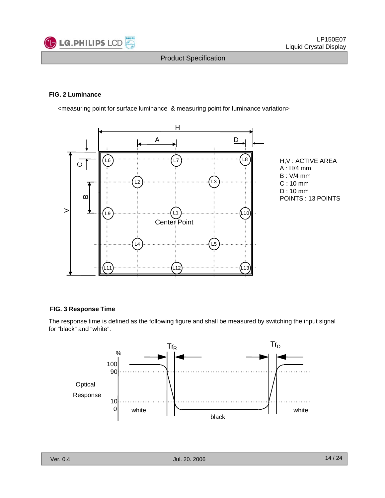

#### **FIG. 2 Luminance**

<measuring point for surface luminance & measuring point for luminance variation>



#### **FIG. 3 Response Time**

The response time is defined as the following figure and shall be measured by switching the input signal for "black" and "white".

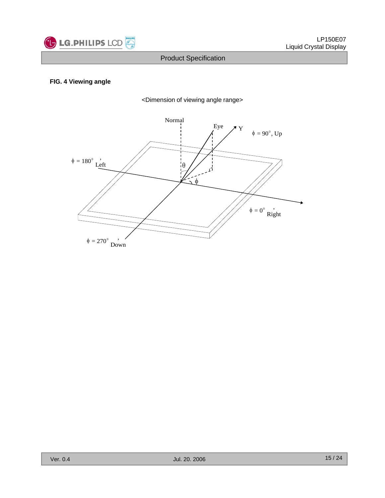

#### **FIG. 4 Viewing angle**



<Dimension of viewing angle range>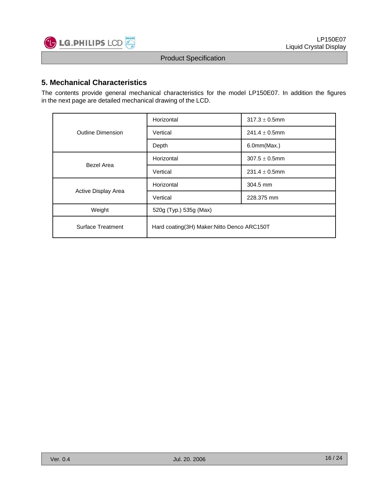

### **5. Mechanical Characteristics**

The contents provide general mechanical characteristics for the model LP150E07. In addition the figures in the next page are detailed mechanical drawing of the LCD.

|                          | Horizontal                                   | $317.3 \pm 0.5$ mm |  |  |  |  |
|--------------------------|----------------------------------------------|--------------------|--|--|--|--|
| <b>Outline Dimension</b> | Vertical                                     | $241.4 \pm 0.5$ mm |  |  |  |  |
|                          | Depth                                        | 6.0mm(Max.)        |  |  |  |  |
| Bezel Area               | Horizontal                                   | $307.5 \pm 0.5$ mm |  |  |  |  |
|                          | Vertical                                     | $231.4 \pm 0.5$ mm |  |  |  |  |
|                          | Horizontal                                   | 304.5 mm           |  |  |  |  |
| Active Display Area      | Vertical                                     | 228.375 mm         |  |  |  |  |
| Weight                   | 520g (Typ.) 535g (Max)                       |                    |  |  |  |  |
| <b>Surface Treatment</b> | Hard coating (3H) Maker: Nitto Denco ARC150T |                    |  |  |  |  |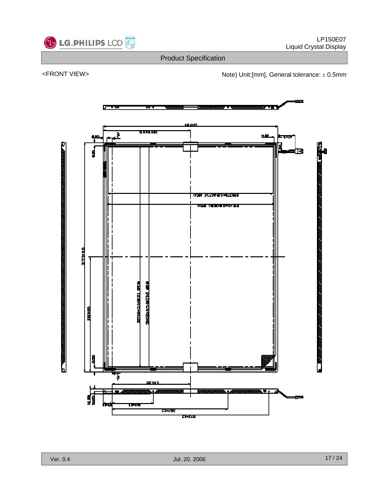

<FRONT VIEW>  $\blacksquare$  Note) Unit:[mm], General tolerance:  $\pm$  0.5mm

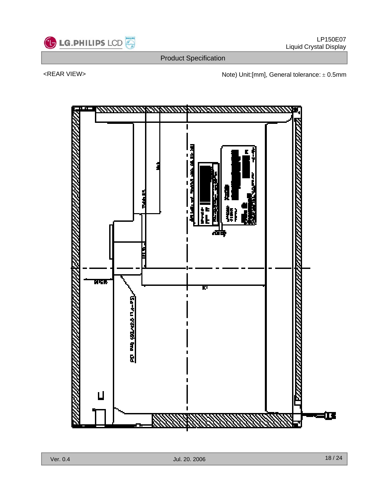

<REAR VIEW>  $\blacksquare$  Note) Unit:[mm], General tolerance:  $\pm$  0.5mm

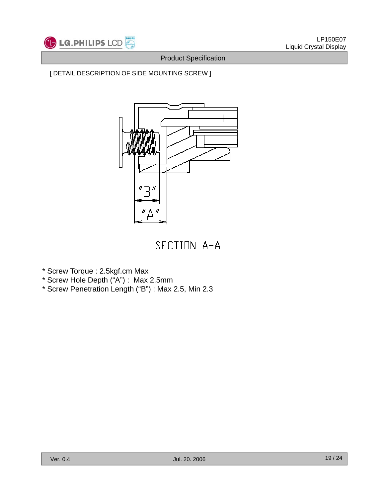

## [ DETAIL DESCRIPTION OF SIDE MOUNTING SCREW ]



SECTION A-A

- \* Screw Torque : 2.5kgf.cm Max
- \* Screw Hole Depth ("A") : Max 2.5mm
- \* Screw Penetration Length ("B") : Max 2.5, Min 2.3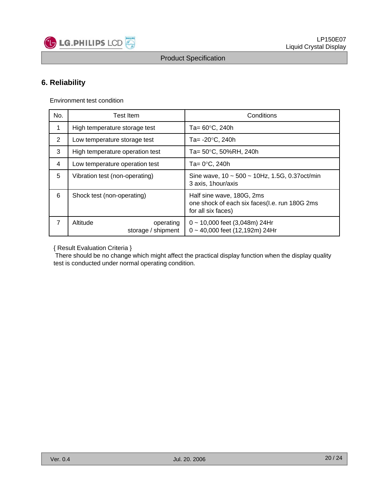

## **6. Reliability**

Environment test condition

| No.            | <b>Test Item</b>                            | Conditions                                                                                       |  |  |  |  |  |
|----------------|---------------------------------------------|--------------------------------------------------------------------------------------------------|--|--|--|--|--|
| 1              | High temperature storage test               | Ta= $60^{\circ}$ C, 240h                                                                         |  |  |  |  |  |
| $\overline{2}$ | Low temperature storage test                | Ta= $-20^{\circ}$ C, 240h                                                                        |  |  |  |  |  |
| 3              | High temperature operation test             | Ta= 50°C, 50%RH, 240h                                                                            |  |  |  |  |  |
| 4              | Low temperature operation test              | Ta= $0^{\circ}$ C, 240h                                                                          |  |  |  |  |  |
| 5              | Vibration test (non-operating)              | Sine wave, $10 \sim 500 \sim 10$ Hz, 1.5G, 0.37 oct/min<br>3 axis, 1 hour/axis                   |  |  |  |  |  |
| 6              | Shock test (non-operating)                  | Half sine wave, 180G, 2ms<br>one shock of each six faces(I.e. run 180G 2ms<br>for all six faces) |  |  |  |  |  |
| $\overline{7}$ | Altitude<br>operating<br>storage / shipment | $0 \sim 10,000$ feet (3,048m) 24Hr<br>0~40,000 feet (12,192m) 24Hr                               |  |  |  |  |  |

{ Result Evaluation Criteria } { Result Evaluation Criteria

There should be no change which might affect the practical display function when the display quality test is conducted under normal operating condition.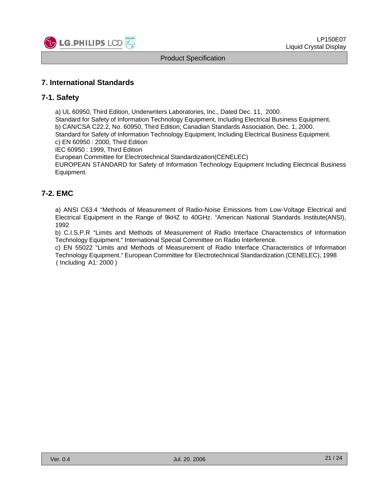

### **7. International Standards**

#### **7-1. Safety**

a) UL 60950, Third Edition, Underwriters Laboratories, Inc., Dated Dec. 11, 2000. Standard for Safety of Information Technology Equipment, Including Electrical Business Equipment. b) CAN/CSA C22.2, No. 60950, Third Edition, Canadian Standards Association, Dec. 1, 2000. Standard for Safety of Information Technology Equipment, Including Electrical Business Equipment. c) EN 60950 : 2000, Third Edition

IEC 60950 : 1999, Third Edition

European Committee for Electrotechnical Standardization(CENELEC)

EUROPEAN STANDARD for Safety of Information Technology Equipment Including Electrical Business Equipment.

## **7-2 EMC .**

a) ANSI C63.4 "Methods of Measurement of Radio-Noise Emissions from Low-Voltage Electrical and Electrical Equipment in the Range of 9kHZ to 40GHz. "American National Standards Institute(ANSI), 1992

b) C.I.S.P.R "Limits and Methods of Measurement of Radio Interface Characteristics of Information Technology Equipment." International Special Committee on Radio Interference.

c) EN 55022 "Limits and Methods of Measurement of Radio Interface Characteristics of Information Technology Equipment." European Committee for Electrotechnical Standardization.(CENELEC), 1998 ( Including A1: 2000 )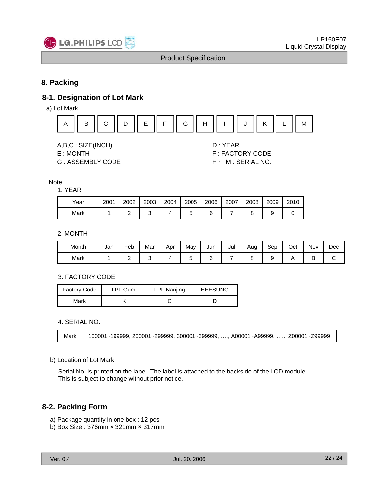

## **8. Packing**

## **8-1. Designation of Lot Mark**

a) Lot Mark



A,B,C : SIZE(INCH) D : YEAR E : MONTH F : FACTORY CODE

G : ASSEMBLY CODE H ~ M : SERIAL NO.

Note

#### 1. YEAR

| Year | 2001 | 2002 | 2003 | 2004 | 2005 | 2006 | 2007 | 2008 | 2009 | 2010 |
|------|------|------|------|------|------|------|------|------|------|------|
| Mark |      |      | ◡    |      | ີ    |      |      |      |      |      |

#### 2. MONTH

| Month | Jan | -<br>=eb | Mar | Apr | May | Jun | Jul | Aug | Sep | Oct | Nov | Dec |
|-------|-----|----------|-----|-----|-----|-----|-----|-----|-----|-----|-----|-----|
| Mark  |     | -        |     |     |     |     |     |     |     |     | −   |     |

#### 3. FACTORY CODE

| <b>Factory Code</b> | <b>LPL Gumi</b> | <b>LPL Nanjing</b> | <b>HEESUNG</b> |  |  |
|---------------------|-----------------|--------------------|----------------|--|--|
| Mark                |                 |                    |                |  |  |

4. SERIAL NO.

Mark 100001~199999, 200001~299999, 300001~399999, …., A00001~A99999, ….., Z00001~Z99999

#### b) Location of Lot Mark )

Serial No. is printed on the label. The label is attached to the backside of the LCD module. This is subject to change without prior notice.

## **8-2. Packing Form**

- a) Package quantity in one box : 12 pcs a) Package quantity in one box : 12
- b) Box Size : 376mm × 321mm × 317mm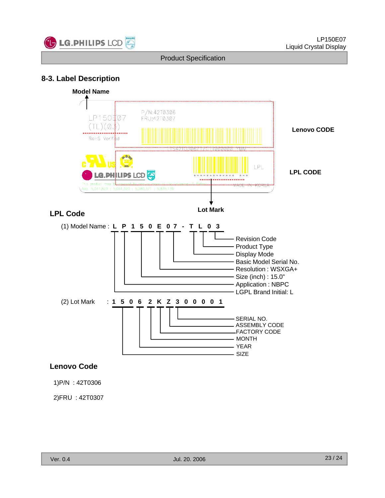

## **8-3 Label Description 3. Label**



1)P/N : 42T0306

2)FRU : 42T0307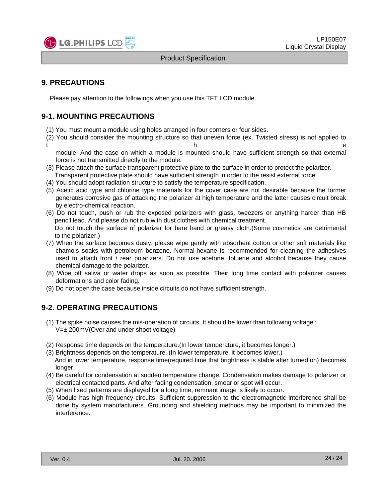

## **9. PRECAUTIONS**

Please pay attention to the followings when you use this TFT LCD module.

## **9-1. MOUNTING PRECAUTIONS**

- (1) You must mount a module using holes arranged in four corners or four sides.
- (2) You should consider the mounting structure so that uneven force (ex. Twisted stress) is not applied to t the contract of the contract of the contract of the contract of the contract of the contract of the contract of the contract of the contract of the contract of the contract of the contract of the contract of the contract

module. And the case on which a module is mounted should have sufficient strength so that external force is not transmitted directly to the module.

- (3) Please attach the surface transparent protective plate to the surface in order to protect the polarizer. Transparent protective plate should have sufficient strength in order to the resist external force.
- (4) You should adopt radiation structure to satisfy the temperature specification.
- (5) Acetic acid type and chlorine type materials for the cover case are not desirable because the former generates corrosive gas of attacking the polarizer at high temperature and the latter causes circuit break by electro-chemical reaction.
- (6) Do not touch, push or rub the exposed polarizers with glass, tweezers or anything harder than HB pencil lead. And please do not rub with dust clothes with chemical treatment. Do not touch the surface of polarizer for bare hand or greasy cloth.(Some cosmetics are detrimental to the polarizer.)
- (7) When the surface becomes dusty, please wipe gently with absorbent cotton or other soft materials like chamois soaks with petroleum benzene. Normal-hexane is recommended for cleaning the adhesives used to attach front / rear polarizers. Do not use acetone, toluene and alcohol because they cause chemical damage to the polarizer.
- (8) Wipe off saliva or water drops as soon as possible. Their long time contact with polarizer causes deformations and color fading.
- (9) Do not open the case because inside circuits do not have sufficient strength.

## **9-2 OPERATING PRECAUTIONS 2. OPERATING**

- (1) The spike noise causes the mis-operation of circuits. It should be lower than following voltage : V=± 200mV(Over and under shoot voltage)
- (2) Response time depends on the temperature.(In lower temperature, it becomes longer.)
- (3) Brightness depends on the temperature. (In lower temperature, it becomes lower.) And in lower temperature, response time(required time that brightness is stable after turned on) becomes longer.
- (4) Be careful for condensation at sudden temperature change. Condensation makes damage to polarizer or electrical contacted parts. And after fading condensation, smear or spot will occur.
- (5) When fixed patterns are displayed for a long time, remnant image is likely to occur.
- (6) Module has high frequency circuits. Sufficient suppression to the electromagnetic interference shall be done by system manufacturers. Grounding and shielding methods may be important to minimized the interference.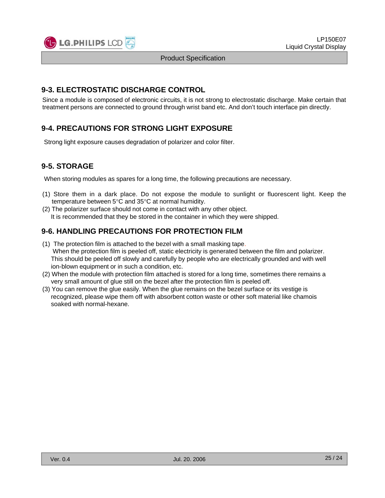

## **9-3. ELECTROSTATIC DISCHARGE CONTROL**

Since a module is composed of electronic circuits, it is not strong to electrostatic discharge. Make certain that treatment persons are connected to ground through wrist band etc. And don't touch interface pin directly.

## **9-4. PRECAUTIONS FOR STRONG LIGHT EXPOSURE**

Strong light exposure causes degradation of polarizer and color filter.

## **9-5. STORAGE**

When storing modules as spares for a long time, the following precautions are necessary.

- (1) Store them in a dark place. Do not expose the module to sunlight or fluorescent light. Keep the temperature between 5°C and 35°C at normal humidity.
- (2) The polarizer surface should not come in contact with any other object. It is recommended that they be stored in the container in which they were shipped.

## **9-6. HANDLING PRECAUTIONS FOR PROTECTION FILM**

- (1) The protection film is attached to the bezel with a small masking tape. When the protection film is peeled off, static electricity is generated between the film and polarizer. This should be peeled off slowly and carefully by people who are electrically grounded and with well ion-blown equipment or in such a condition, etc.
- (2) When the module with protection film attached is stored for a long time, sometimes there remains a very small amount of glue still on the bezel after the protection film is peeled off.
- (3) You can remove the glue easily. When the glue remains on the bezel surface or its vestige is recognized, please wipe them off with absorbent cotton waste or other soft material like chamois soaked with normal-hexane.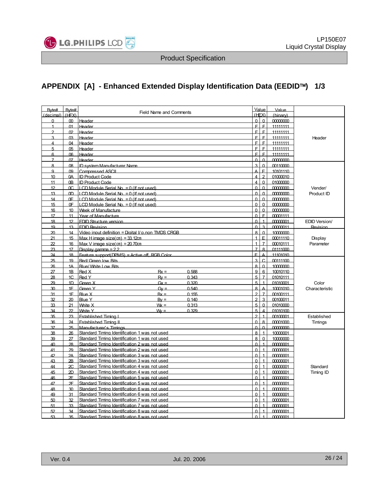

## **APPENDIX [A] - Enhanced Extended Display Identification Data (EEDID**™**) 1/3**

| Byte#          | Byte#           | <b>Field Name and Comments</b>                      |                         | Value<br>(HEX) | Value       |                      |
|----------------|-----------------|-----------------------------------------------------|-------------------------|----------------|-------------|----------------------|
| (decimal)      | HEX             |                                                     | $\Omega$                | $\Omega$       | (hinary)    |                      |
| $\Omega$       | <sub>00</sub>   | Header                                              |                         |                | 0000000     |                      |
| $\mathbf{1}$   | $\Omega$ 1      | Header                                              | F                       | E              | 11111111    |                      |
| 2              | 02              | Header                                              | E                       | E              | 11111111    |                      |
| $\mathbf{z}$   | <b>n</b>        | Header                                              | Ė                       | E              | 11111111    | Header               |
| 4              | $\Omega$        | Header                                              | F                       | E              | 11111111    |                      |
| 5              | 05              | Header                                              | E                       | E              | 11111111    |                      |
| 6              | ൹               | Header                                              | Ė                       | E              | 11111111    |                      |
| $\overline{7}$ | 07              | Header                                              | $\Omega$                | $\Omega$       | mmmm        |                      |
| 8              | Q <sub>8</sub>  | ID system Manufacturer Name                         | 3                       | $\Omega$       | 00110000    |                      |
| a              | m               | <b>Compressed ASCIL</b>                             |                         | E              | 10101110    |                      |
| 10             | 0A              | <b>ID Product Code</b>                              | 4                       | $\mathfrak{D}$ | 01000010    |                      |
| 11             | 0 <sub>B</sub>  | <b>ID Product Code</b>                              |                         | $\Omega$       | 01000000    |                      |
| 12             | m.              | $LCD$ Module Serial $No = 0$ (If not used)          | n                       | $\Omega$       | 00000000    | Vender/              |
| 13             | 0 <sub>D</sub>  | LCD Module Serial No. = 0 (If not used)             | $\Omega$                | $\Omega$       | 00000000    | Product ID           |
| 14             | 0F              | LCD Module Serial No = 0 (If not used)              | $\Omega$                | $\Omega$       | 00000000    |                      |
| 15             | 0F              | $LCD$ Module Serial $No = 0$ (If not used)          | $\Omega$                | $\Omega$       | 00000000    |                      |
| 16             | 10              | Week of Manufacture                                 | $\Omega$                | $\Omega$       | 00000000    |                      |
| 17             | 11              | Year of Manufacture                                 | $\Omega$                | $\mathsf{F}$   | 00001111    |                      |
| 18             | 12              | <b>FDID Structure version</b>                       | C                       |                | 0000001     | <b>EDID Version/</b> |
| 19             | 13              | <b>FDID Revision</b>                                | $\Omega$                | $\mathbf{z}$   | 00000011    | Revision             |
| 20             | 14              | Video input definition = Digital I/ p.non TMDS CRGB | $\mathsf{a}$            | $\Omega$       | 10000000    |                      |
| 21             | 15              | Max Himage size $(cm) = 33.12cm$                    |                         | E              | 00011110    | Display              |
| 22             | 16              | Max V image size(cm) = $20,70$ cm                   | $\overline{A}$          | $\overline{7}$ | 00010111    | Parameter            |
| 23             | 17              | Display gamma = 2.2                                 |                         | $\mathsf{a}$   | 01111000    |                      |
| 24             | 18              | Feature support(DPMS) = Active off, RGB Color       | E                       | Δ              | 11101010    |                      |
| 25             | 19              | Red/Green low Bits                                  | $\overline{\mathbf{3}}$ | $\overline{C}$ | 00111100    |                      |
| 26             | 1A              | Blue/ White Low Bits                                | $\mathbf{8}$            | $\Omega$       | 10000000    |                      |
| 27             | 1B              | Red X<br>$Rx =$<br>0.588                            | g                       | 6              | 10010110    |                      |
| 28             | 1C              | Red Y<br>0.343<br>$Rv =$                            | 5                       | $\overline{7}$ | 01010111    |                      |
| 29             | 1 <sub>D</sub>  | Green X<br>0.320<br>$Gx =$                          | 5                       |                | 01010001    | Color                |
| 30             | 1F              | Green Y<br>0.540<br>$Gv =$                          | 8                       | A              | 10001010    | Characteristic       |
| 31             | 1F              | <b>Blue X</b><br>0.155<br>$Rx =$                    | $\overline{2}$          | $\overline{7}$ | 00100111    |                      |
| 32             | 20              | <b>Blue Y</b><br>0.140<br>$Bv =$                    | $\mathcal{P}$           | $\overline{3}$ | 00100011    |                      |
| 33             | 21              | White X<br>$W =$<br>0.313                           | 5                       | $\Omega$       | 01010000    |                      |
| 34             | $\mathcal{D}$   | <b>Mhite Y</b><br>0.329<br>$W =$                    | 5                       |                | 01010100    |                      |
| 35             | 23              | <b>Established Timing I</b>                         | $\mathfrak{p}$          |                | 00100001    | Established          |
| 36             | 24              | <b>Established Timing II</b>                        | $\Omega$                | 8              | 00001000    | Timings              |
| 37             | 25              | Manufacturer's Timings                              | $\Omega$                | $\Omega$       | <u>mmmm</u> |                      |
| 38             | 26              | Standard Timing Identification 1 was not used       | $\mathbf{8}$            | $\overline{1}$ | 10000001    |                      |
| 39             | 27              | Standard Timing Identification 1 was not used       | $\mathsf{R}$            | $\Omega$       | 10000000    |                      |
| 40             | 28              | Standard Timing Identification 2 was not used       | $\Omega$                | $\overline{1}$ | 00000001    |                      |
| 41             | 29              | Standard Timing Identification 2 was not used       | $\Omega$                | $\overline{1}$ | 00000001    |                      |
| 42             | 2A              | Standard Timing Identification 3 was not used       | $\Omega$                |                | 00000001    |                      |
| 43             | 2B              | Standard Timing Identification 3 was not used       | $\Omega$                | $\overline{1}$ | 00000001    |                      |
| 44             | $\overline{2}C$ | Standard Timing Identification 4 was not used       | $\Omega$                | $\overline{1}$ | 00000001    | Standard             |
| 45             | 2D              | Standard Timing Identification 4 was not used       | $\Omega$                |                | 00000001    | Timing ID            |
| 46             | 2F              | Standard Timing Identification 5 was not used       | $\Omega$                | $\overline{1}$ | 00000001    |                      |
| 47             | 2F              | Standard Timing Identification 5 was not used       | $\Omega$                | $\overline{1}$ | 00000001    |                      |
| 48             | 30              | Standard Timing Identification 6 was not used       | $\Omega$                |                | 00000001    |                      |
| 49             | 31              | Standard Timing Identification 6 was not used       | $\Omega$                | $\overline{1}$ | 00000001    |                      |
| 50             | 32              | Standard Timing Identification 7 was not used       | $\Omega$                | $\overline{1}$ | 00000001    |                      |
| 51             | 33              | Standard Timing Identification 7 was not used       | $\Omega$                |                | 00000001    |                      |
| 52             | 34              | Standard Timing Identification 8 was not used       | $\Omega$                |                | 00000001    |                      |
| 53             | 35              | Standard Timing Identification 8 was not used       | $\Omega$                | $\overline{1}$ | 00000001    |                      |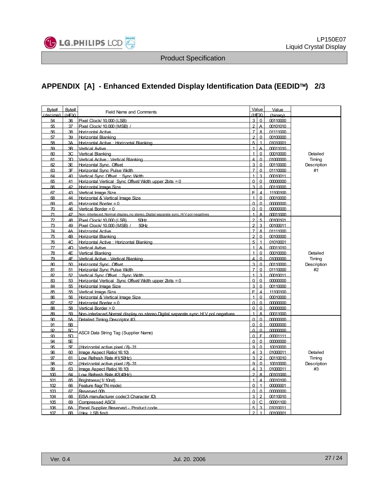

## **APPENDIX [A] - Enhanced Extended Display Identification Data (EEDID**™**) 2/3**

| Byte#<br>(decimal) (HFX) | Byte#          | <b>Field Name and Comments</b>                                                       |                | Value<br>(HFX)          | Value<br>(binary) |             |
|--------------------------|----------------|--------------------------------------------------------------------------------------|----------------|-------------------------|-------------------|-------------|
| 54                       | 36             | Pixel Clock/ 10 000 (LSB)                                                            |                | $3\sqrt{0}$             | 00110000          |             |
| 55                       | 37             | Pixel Clock/ 10 000 (MSB) /                                                          | $\mathfrak{p}$ | A                       | 00101010          |             |
| 56                       | 38             | <b>Horizontal Active</b>                                                             | $\overline{7}$ | 8                       | 01111000          |             |
| 57                       | 39             | Horizontal Blanking                                                                  | $\mathfrak{p}$ | $\Omega$                | 00100000          |             |
| 58                       | 3A             | Horizontal Active : Horizontal Blanking                                              | 5              | $\overline{1}$          | 01010001          |             |
| 59                       | 3 <sub>B</sub> | <b>Vertical Avtive</b>                                                               |                | A                       | 00011010          |             |
| 60                       | 3C             | Vertical Blanking                                                                    |                | $\Omega$                | 00010000          | Detailed    |
| 61                       | 3D             | Vertical Active: Vertical Blanking                                                   |                | $\Omega$                | 01000000          | Timing      |
| 62                       | 3F             | Horizontal Sync. Offset                                                              | 3              | $\Omega$                | 00110000          | Description |
| 63                       | 3F             | Horizontal Sync Pulse Width                                                          |                | $\Omega$                | 01110000          | #1          |
| 64                       | 40             | Vertical Sync Offset: Sync Width                                                     |                | $\overline{3}$          | 00010011          |             |
| 65                       | 41             | Horizontal Vertical Sync Offset/Wdth upper 2bits = 0                                 | $\Omega$       | $\Omega$                | 00000000          |             |
| 66                       | 42             | Horizontal Image Size                                                                | 3              | $\Omega$                | 00110000          |             |
| 67                       | 43             | Vertical Image Size                                                                  | Ë              | $\Delta$                | 11100100          |             |
| 68                       | 44             | Horizontal & Vertical Image Size                                                     |                | $\Omega$                | 00010000          |             |
| 69                       | 45             | Horizontal Border = $0$                                                              | $\Omega$       | $\Omega$                | 00000000          |             |
| 70                       | 46             | Vertical Border = $0$                                                                | n              | $\Omega$                | 00000000          |             |
| 71                       | 47             | Non- interlaced. Normal display, no stereo. Digital separate sync. H/V pol negatives |                | $\mathsf{R}$            | 00011000          |             |
| 72                       | 48             | 50Hz<br>Pixel Clock/ 10,000 (I SB)                                                   |                | $\overline{5}$          | 00100101          |             |
| 73                       | 49             | Pixel Clock/10.000 (MSB) /<br>50Hz                                                   | c              | $\overline{3}$          | 00100011          |             |
| 74                       | 4Α             | <b>Horizontal Active</b>                                                             |                | $\mathbf{8}$            | 01111000          |             |
| 75                       | 4 <sub>B</sub> | Horizontal Blanking                                                                  | $\mathfrak{p}$ | $\Omega$                | 00100000          |             |
| 76                       | 4C             | Horizontal Active: Horizontal Blanking                                               | 5              | $\overline{1}$          | 01010001          |             |
| 77                       | 4D             | <b>Vertical Avtive</b>                                                               | 1              | $\overline{\mathsf{A}}$ | 00011010          |             |
| 78                       | 4F             | Vertical Blanking                                                                    |                | $\Omega$                | 00010000          | Detailed    |
| 79                       | 4F             | Vertical Active: Vertical Blanking                                                   |                | $\Omega$                | 01000000          | Timing      |
| 80                       | 50             | Horizontal Sync. Offset                                                              | 3              | $\Omega$                | 00110000          | Description |
| 81                       | 51             | Horizontal Sync Pulse Width                                                          |                | $\Omega$                | 01110000          | #2          |
| 82                       | 52             | Vertical Sync Offset : Sync Width                                                    |                | $\overline{3}$          | 00010011          |             |
| 83                       | 53             | Horizontal Vertical Sync Offset/Wdth upper 2bits = $0$                               | $\Omega$       | $\Omega$                | 00000000          |             |
| 84                       | 55             | Horizontal Image Size                                                                | 3              | $\Omega$                | 00110000          |             |
| 85                       | 55             | Vertical Image Size                                                                  | Ë              | $\overline{\mathbf{4}}$ | 11100100          |             |
| 86                       | 56             | Horizontal & Vertical Image Size                                                     |                | $\Omega$                | 00010000          |             |
| 87                       | 57             | Horizontal Border = $0$                                                              | $\Omega$       | $\Omega$                | 00000000          |             |
| 88                       | 58             | Vertical Border = $0$                                                                | $\Omega$       | $\Omega$                | 00000000          |             |
| 80                       | 50             | Non-interlaced Normal display no stereo Digital separate sync H/V pol negatives      |                | $\mathbf{a}$            | 00011000          |             |
| $90^{\circ}$             | 5A             | Detailed Timing Descriptor #3                                                        |                | $\Omega$                | 00000000          |             |
| 91                       | 5B             |                                                                                      | $\Omega$       | $\Omega$                | 00000000          |             |
| 92                       | 5С             |                                                                                      | $\Omega$       | $\Omega$                | 0000000           |             |
| 93                       | 5D             | ASCII Data String Tag (Supplier Name)                                                | $\Omega$       | E                       | 00001111          |             |
| $\mathbf{Q}$             | 5F             |                                                                                      | O              | $\Omega$                | 00000000          |             |
| 95                       | 5F             | (Horizontal active pixel / 8)-31                                                     | 9              | $\Omega$                | 10010000          |             |
| 96                       | 60             | Image Aspect Ratio (16:10)                                                           |                | $\overline{3}$          | 01000011          | Detailed    |
| 97                       | 61             | Low Refresh Rate #1(50Hz)                                                            | 3              | $\mathfrak{D}$          | 00110010          | Timing      |
| 98                       | 62             | (Horizontal active pixel / 8)-31                                                     | q              | $\Omega$                | 10010000          | Description |
| 99                       | 63             | Image Aspect Ratio (16:10)                                                           |                | 3                       | 01000011          | #3          |
| 100                      | 64             | Low Refresh Rate #2(40Hz)                                                            | $\mathfrak{p}$ | $\mathsf{a}$            | 00101000          |             |
| 101                      | 65             | Brightness (1/10nit)                                                                 |                | $\overline{\mathbf{4}}$ | 00010100          |             |
| 102                      | 66             | Feature flag(TN mode).                                                               | $\Omega$       | $\overline{1}$          | 00000001          |             |
| 103                      | 67             | Reserved 00h                                                                         | $\Omega$       | $\Omega$                | 00000000          |             |
| 104                      | 68             | EISA manufacturer code(3 Character ID)                                               | 3              | $\overline{2}$          | 00110010          |             |
| 105                      | 69             | Compressed ASCII                                                                     | $\Omega$       | $\overline{C}$          | 00001100          |             |
| 106                      | 6A             | Panel Supplier Reserved - Product code                                               | 5              | $\overline{3}$          | 01010011          |             |
| 107                      | 6 <sub>R</sub> | (Hex. I SB first)                                                                    | $\mathcal{L}$  | $\overline{1}$          | 00100001          |             |